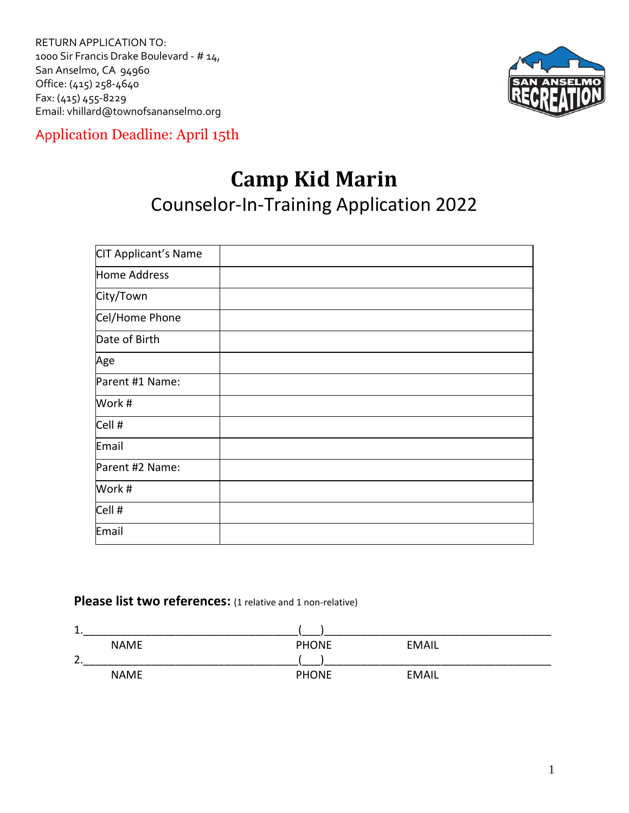RETURN APPLICATION TO: 1000 Sir Francis Drake Boulevard - # 14, San Anselmo, CA 94960 Office: (415) 258-4640 Fax: (415) 455-8229 Email: vhillard@townofsananselmo.org



Application Deadline: April 15th

## **Camp Kid Marin** Counselor-In-Training Application 2022

| CIT Applicant's Name |  |
|----------------------|--|
| <b>Home Address</b>  |  |
| City/Town            |  |
| Cel/Home Phone       |  |
| Date of Birth        |  |
| Age                  |  |
| Parent #1 Name:      |  |
| Work #               |  |
| Cell #               |  |
| Email                |  |
| Parent #2 Name:      |  |
| Work #               |  |
| Cell #               |  |
| Email                |  |

#### **Please list two references:** (1 relative and 1 non-relative)

| 1.          |              |       |  |
|-------------|--------------|-------|--|
| <b>NAME</b> | <b>PHONE</b> | EMAIL |  |
| 2.          |              |       |  |
| <b>NAME</b> | <b>PHONE</b> | EMAIL |  |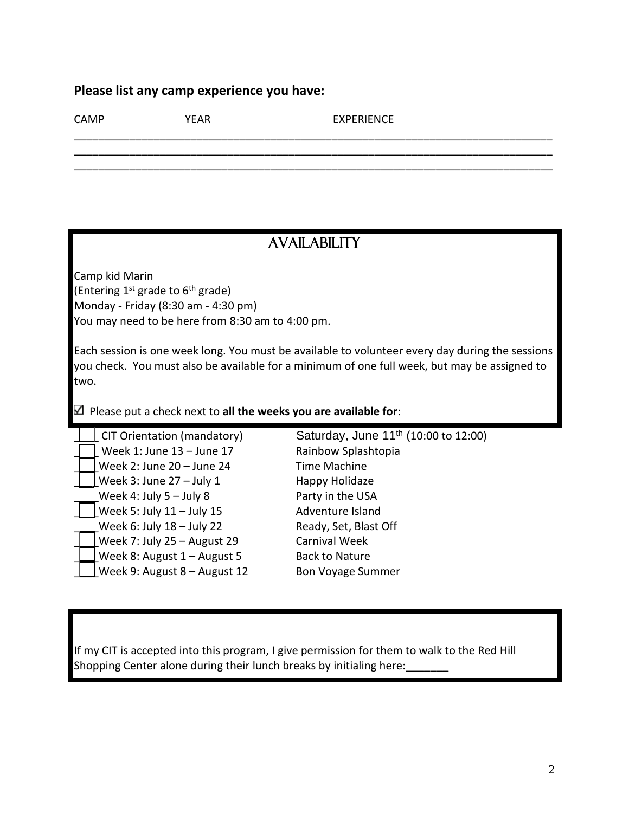#### **Please list any camp experience you have:**

CAMP YEAR EXPERIENCE

### **AVAILABILITY**

\_\_\_\_\_\_\_\_\_\_\_\_\_\_\_\_\_\_\_\_\_\_\_\_\_\_\_\_\_\_\_\_\_\_\_\_\_\_\_\_\_\_\_\_\_\_\_\_\_\_\_\_\_\_\_\_\_\_\_\_\_\_\_\_\_\_\_\_\_\_\_\_\_\_\_\_\_\_ \_\_\_\_\_\_\_\_\_\_\_\_\_\_\_\_\_\_\_\_\_\_\_\_\_\_\_\_\_\_\_\_\_\_\_\_\_\_\_\_\_\_\_\_\_\_\_\_\_\_\_\_\_\_\_\_\_\_\_\_\_\_\_\_\_\_\_\_\_\_\_\_\_\_\_\_\_\_ \_\_\_\_\_\_\_\_\_\_\_\_\_\_\_\_\_\_\_\_\_\_\_\_\_\_\_\_\_\_\_\_\_\_\_\_\_\_\_\_\_\_\_\_\_\_\_\_\_\_\_\_\_\_\_\_\_\_\_\_\_\_\_\_\_\_\_\_\_\_\_\_\_\_\_\_\_\_

Camp kid Marin (Entering 1<sup>st</sup> grade to 6<sup>th</sup> grade) Monday - Friday (8:30 am - 4:30 pm) You may need to be here from 8:30 am to 4:00 pm.

Each session is one week long. You must be available to volunteer every day during the sessions you check. You must also be available for a minimum of one full week, but may be assigned to two.

Please put a check next to **all the weeks you are available for**:

| CIT Orientation (mandatory)  | Saturday, June 11 <sup>th</sup> (10:00 to 12:00) |
|------------------------------|--------------------------------------------------|
| Week 1: June 13 - June 17    | Rainbow Splashtopia                              |
| Week 2: June 20 - June 24    | <b>Time Machine</b>                              |
| Week 3: June $27 -$ July 1   | Happy Holidaze                                   |
| Week 4: July $5 -$ July 8    | Party in the USA                                 |
| Week 5: July $11 -$ July 15  | Adventure Island                                 |
| Week 6: July 18 - July 22    | Ready, Set, Blast Off                            |
| Week 7: July 25 - August 29  | <b>Carnival Week</b>                             |
| Week 8: August 1 - August 5  | <b>Back to Nature</b>                            |
| Week 9: August 8 - August 12 | <b>Bon Voyage Summer</b>                         |

If my CIT is accepted into this program, I give permission for them to walk to the Red Hill Shopping Center alone during their lunch breaks by initialing here: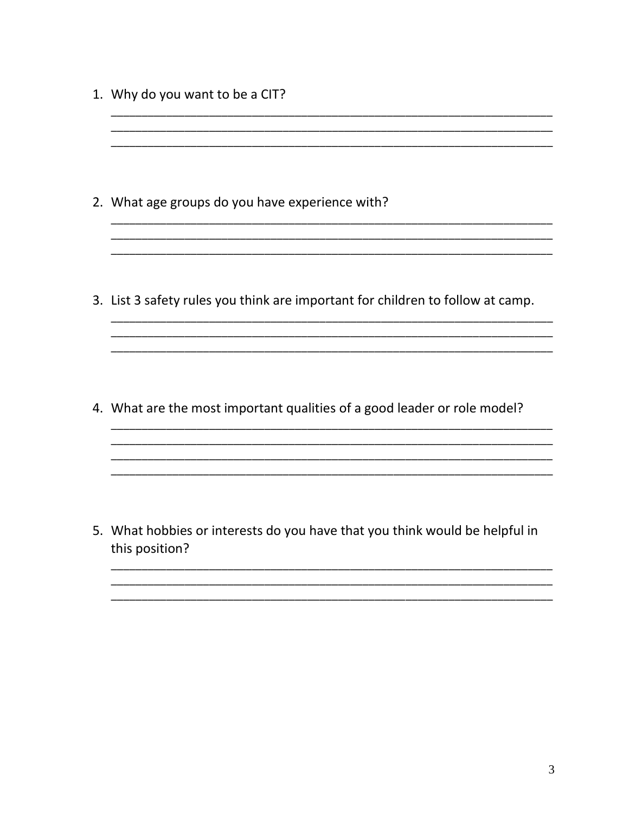- 1. Why do you want to be a CIT?
- 2. What age groups do you have experience with? 3. List 3 safety rules you think are important for children to follow at camp. 4. What are the most important qualities of a good leader or role model?

5. What hobbies or interests do you have that you think would be helpful in this position?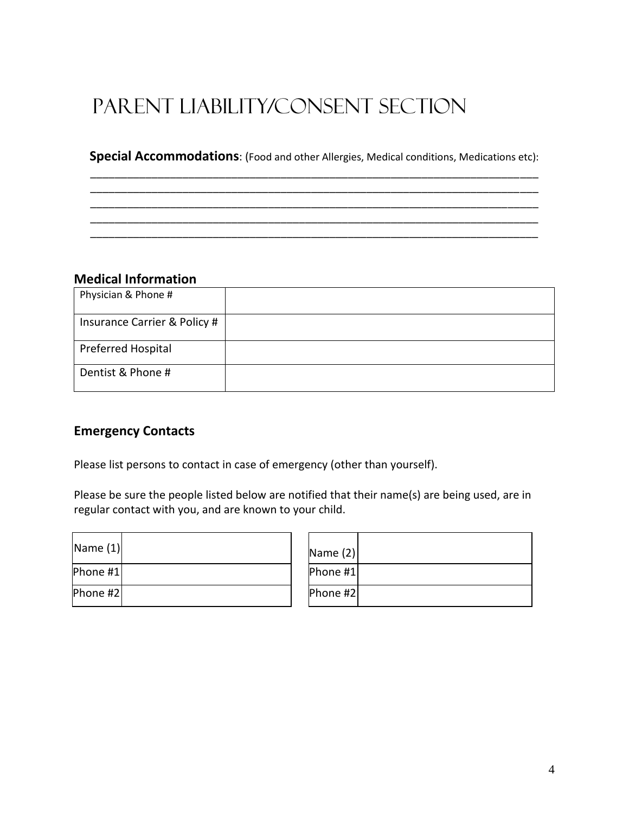# Parent Liability/Consent Section

#### **Special Accommodations**: (Food and other Allergies, Medical conditions, Medications etc): \_\_\_\_\_\_\_\_\_\_\_\_\_\_\_\_\_\_\_\_\_\_\_\_\_\_\_\_\_\_\_\_\_\_\_\_\_\_\_\_\_\_\_\_\_\_\_\_\_\_\_\_\_\_\_\_\_\_\_\_\_\_\_\_\_\_\_\_\_\_\_\_\_

\_\_\_\_\_\_\_\_\_\_\_\_\_\_\_\_\_\_\_\_\_\_\_\_\_\_\_\_\_\_\_\_\_\_\_\_\_\_\_\_\_\_\_\_\_\_\_\_\_\_\_\_\_\_\_\_\_\_\_\_\_\_\_\_\_\_\_\_\_\_\_\_\_ \_\_\_\_\_\_\_\_\_\_\_\_\_\_\_\_\_\_\_\_\_\_\_\_\_\_\_\_\_\_\_\_\_\_\_\_\_\_\_\_\_\_\_\_\_\_\_\_\_\_\_\_\_\_\_\_\_\_\_\_\_\_\_\_\_\_\_\_\_\_\_\_\_ \_\_\_\_\_\_\_\_\_\_\_\_\_\_\_\_\_\_\_\_\_\_\_\_\_\_\_\_\_\_\_\_\_\_\_\_\_\_\_\_\_\_\_\_\_\_\_\_\_\_\_\_\_\_\_\_\_\_\_\_\_\_\_\_\_\_\_\_\_\_\_\_\_ \_\_\_\_\_\_\_\_\_\_\_\_\_\_\_\_\_\_\_\_\_\_\_\_\_\_\_\_\_\_\_\_\_\_\_\_\_\_\_\_\_\_\_\_\_\_\_\_\_\_\_\_\_\_\_\_\_\_\_\_\_\_\_\_\_\_\_\_\_\_\_\_\_

#### **Medical Information**

| Physician & Phone #          |  |
|------------------------------|--|
| Insurance Carrier & Policy # |  |
| <b>Preferred Hospital</b>    |  |
| Dentist & Phone #            |  |

#### **Emergency Contacts**

Please list persons to contact in case of emergency (other than yourself).

Please be sure the people listed below are notified that their name(s) are being used, are in regular contact with you, and are known to your child.

 $\overline{ }$ 

| Name $(1)$ |  | Name $(2)$      |
|------------|--|-----------------|
| Phone #1   |  | Phone #1        |
| Phone #2   |  | <b>Phone #2</b> |

| Name $(2)$ |  |
|------------|--|
| Phone #1   |  |
| Phone #2   |  |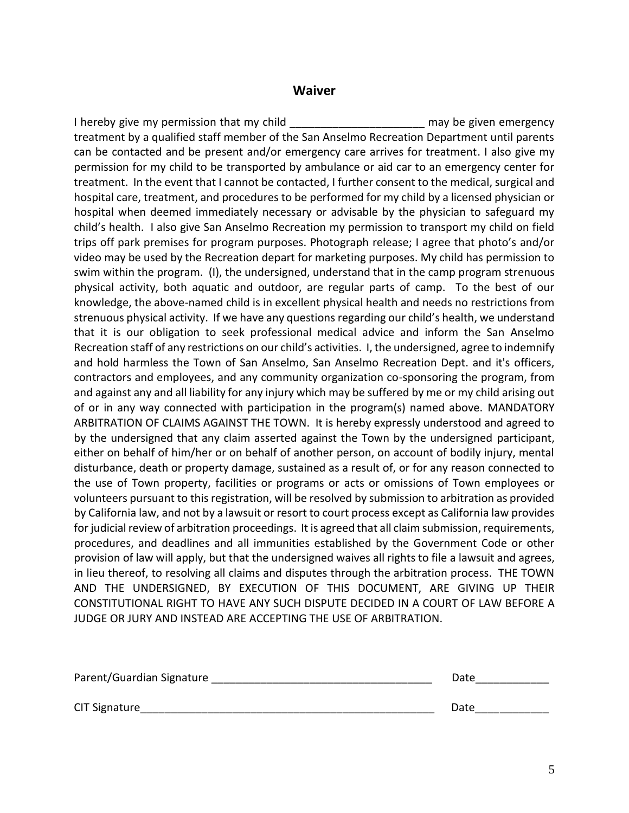#### **Waiver**

I hereby give my permission that my child **Example 20** may be given emergency treatment by a qualified staff member of the San Anselmo Recreation Department until parents can be contacted and be present and/or emergency care arrives for treatment. I also give my permission for my child to be transported by ambulance or aid car to an emergency center for treatment. In the event that I cannot be contacted, I further consent to the medical, surgical and hospital care, treatment, and procedures to be performed for my child by a licensed physician or hospital when deemed immediately necessary or advisable by the physician to safeguard my child's health. I also give San Anselmo Recreation my permission to transport my child on field trips off park premises for program purposes. Photograph release; I agree that photo's and/or video may be used by the Recreation depart for marketing purposes. My child has permission to swim within the program. (I), the undersigned, understand that in the camp program strenuous physical activity, both aquatic and outdoor, are regular parts of camp. To the best of our knowledge, the above-named child is in excellent physical health and needs no restrictions from strenuous physical activity. If we have any questions regarding our child's health, we understand that it is our obligation to seek professional medical advice and inform the San Anselmo Recreation staff of any restrictions on our child's activities. I, the undersigned, agree to indemnify and hold harmless the Town of San Anselmo, San Anselmo Recreation Dept. and it's officers, contractors and employees, and any community organization co-sponsoring the program, from and against any and all liability for any injury which may be suffered by me or my child arising out of or in any way connected with participation in the program(s) named above. MANDATORY ARBITRATION OF CLAIMS AGAINST THE TOWN. It is hereby expressly understood and agreed to by the undersigned that any claim asserted against the Town by the undersigned participant, either on behalf of him/her or on behalf of another person, on account of bodily injury, mental disturbance, death or property damage, sustained as a result of, or for any reason connected to the use of Town property, facilities or programs or acts or omissions of Town employees or volunteers pursuant to this registration, will be resolved by submission to arbitration as provided by California law, and not by a lawsuit or resort to court process except as California law provides for judicial review of arbitration proceedings. It is agreed that all claim submission, requirements, procedures, and deadlines and all immunities established by the Government Code or other provision of law will apply, but that the undersigned waives all rights to file a lawsuit and agrees, in lieu thereof, to resolving all claims and disputes through the arbitration process. THE TOWN AND THE UNDERSIGNED, BY EXECUTION OF THIS DOCUMENT, ARE GIVING UP THEIR CONSTITUTIONAL RIGHT TO HAVE ANY SUCH DISPUTE DECIDED IN A COURT OF LAW BEFORE A JUDGE OR JURY AND INSTEAD ARE ACCEPTING THE USE OF ARBITRATION.

| Parent/Guardian Signature | Date |
|---------------------------|------|
| <b>CIT Signature</b>      | Date |